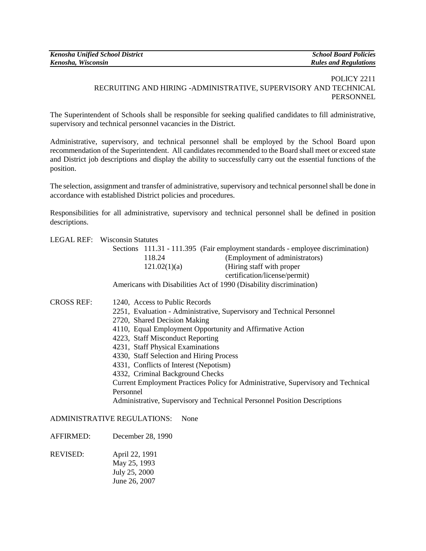| <b>Kenosha Unified School District</b> | <b>School Board Policies</b> |
|----------------------------------------|------------------------------|
| Kenosha, Wisconsin                     | <b>Rules and Regulations</b> |

## POLICY 2211 RECRUITING AND HIRING -ADMINISTRATIVE, SUPERVISORY AND TECHNICAL **PERSONNEL**

The Superintendent of Schools shall be responsible for seeking qualified candidates to fill administrative, supervisory and technical personnel vacancies in the District.

Administrative, supervisory, and technical personnel shall be employed by the School Board upon recommendation of the Superintendent. All candidates recommended to the Board shall meet or exceed state and District job descriptions and display the ability to successfully carry out the essential functions of the position.

The selection, assignment and transfer of administrative, supervisory and technical personnel shall be done in accordance with established District policies and procedures.

Responsibilities for all administrative, supervisory and technical personnel shall be defined in position descriptions.

|                   | <b>LEGAL REF:</b> Wisconsin Statutes                                              |  |
|-------------------|-----------------------------------------------------------------------------------|--|
|                   | Sections 111.31 - 111.395 (Fair employment standards - employee discrimination)   |  |
|                   | (Employment of administrators)<br>118.24                                          |  |
|                   | 121.02(1)(a)<br>(Hiring staff with proper                                         |  |
|                   | certification/license/permit)                                                     |  |
|                   | Americans with Disabilities Act of 1990 (Disability discrimination)               |  |
| <b>CROSS REF:</b> | 1240, Access to Public Records                                                    |  |
|                   | 2251, Evaluation - Administrative, Supervisory and Technical Personnel            |  |
|                   | 2720, Shared Decision Making                                                      |  |
|                   | 4110, Equal Employment Opportunity and Affirmative Action                         |  |
|                   | 4223, Staff Misconduct Reporting                                                  |  |
|                   | 4231, Staff Physical Examinations                                                 |  |
|                   | 4330, Staff Selection and Hiring Process                                          |  |
|                   | 4331, Conflicts of Interest (Nepotism)                                            |  |
|                   | 4332, Criminal Background Checks                                                  |  |
|                   | Current Employment Practices Policy for Administrative, Supervisory and Technical |  |
|                   | Personnel                                                                         |  |
|                   | Administrative, Supervisory and Technical Personnel Position Descriptions         |  |
|                   | ADMINISTRATIVE REGULATIONS:<br>None                                               |  |
| <b>AFFIRMED:</b>  | December 28, 1990                                                                 |  |
| PIVIREN           | Ann122 1001                                                                       |  |

REVISED: April 22, 1991 May 25, 1993 July 25, 2000 June 26, 2007